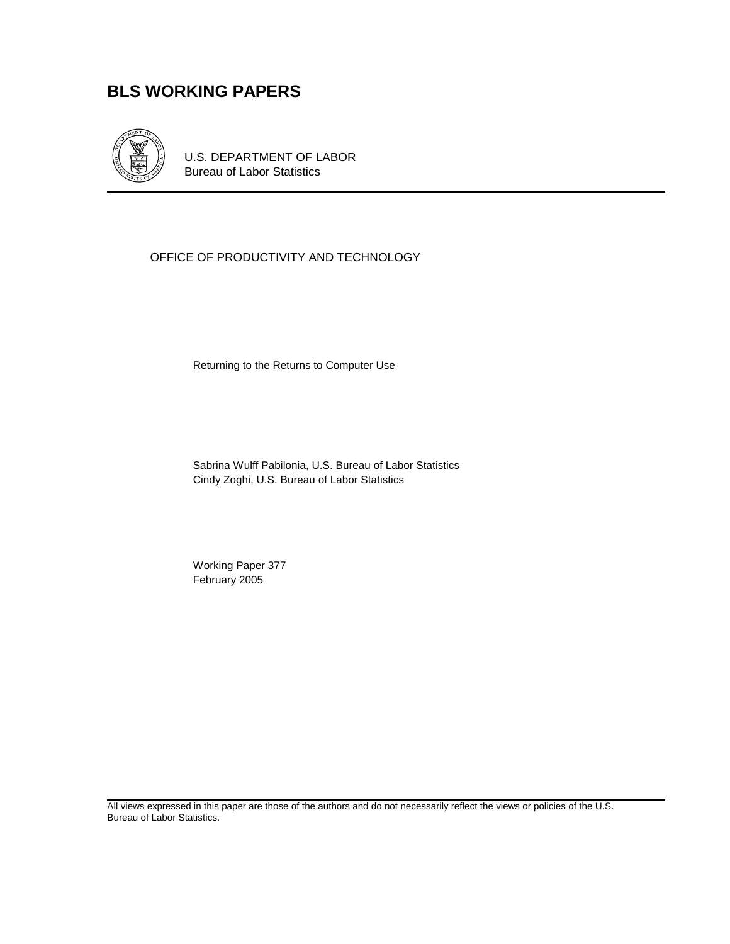# **BLS WORKING PAPERS**



U.S. DEPARTMENT OF LABOR Bureau of Labor Statistics

## OFFICE OF PRODUCTIVITY AND TECHNOLOGY

Returning to the Returns to Computer Use

Sabrina Wulff Pabilonia, U.S. Bureau of Labor Statistics Cindy Zoghi, U.S. Bureau of Labor Statistics

 Working Paper 377 February 2005

All views expressed in this paper are those of the authors and do not necessarily reflect the views or policies of the U.S. Bureau of Labor Statistics.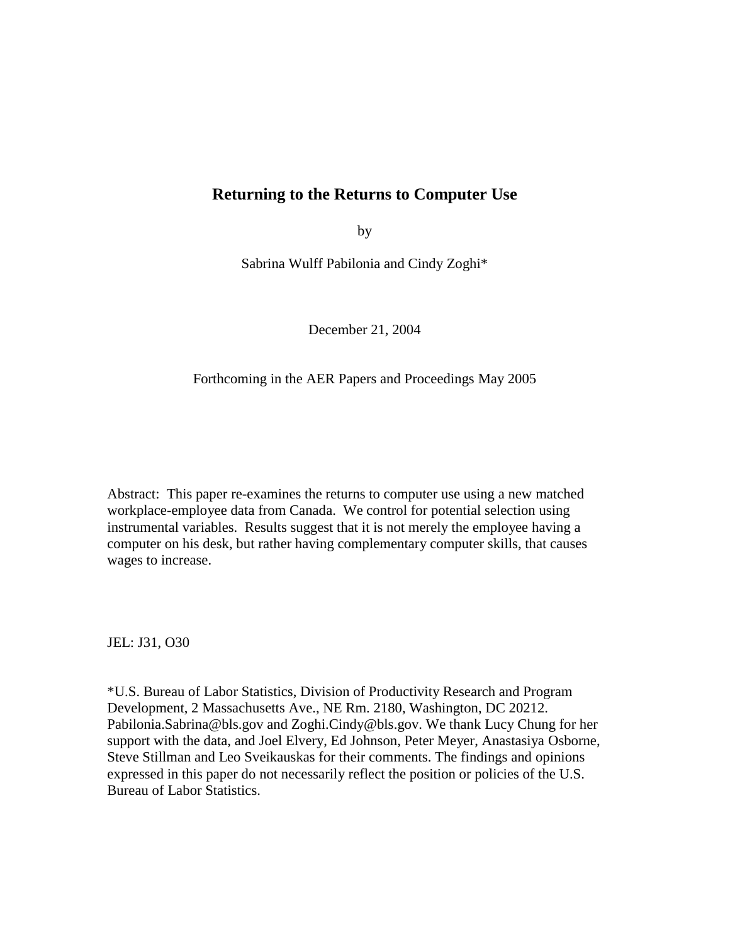## **Returning to the Returns to Computer Use**

by

Sabrina Wulff Pabilonia and Cindy Zoghi\*

December 21, 2004

#### Forthcoming in the AER Papers and Proceedings May 2005

Abstract: This paper re-examines the returns to computer use using a new matched workplace-employee data from Canada. We control for potential selection using instrumental variables. Results suggest that it is not merely the employee having a computer on his desk, but rather having complementary computer skills, that causes wages to increase.

JEL: J31, O30

\*U.S. Bureau of Labor Statistics, Division of Productivity Research and Program Development, 2 Massachusetts Ave., NE Rm. 2180, Washington, DC 20212. Pabilonia.Sabrina@bls.gov and Zoghi.Cindy@bls.gov. We thank Lucy Chung for her support with the data, and Joel Elvery, Ed Johnson, Peter Meyer, Anastasiya Osborne, Steve Stillman and Leo Sveikauskas for their comments. The findings and opinions expressed in this paper do not necessarily reflect the position or policies of the U.S. Bureau of Labor Statistics.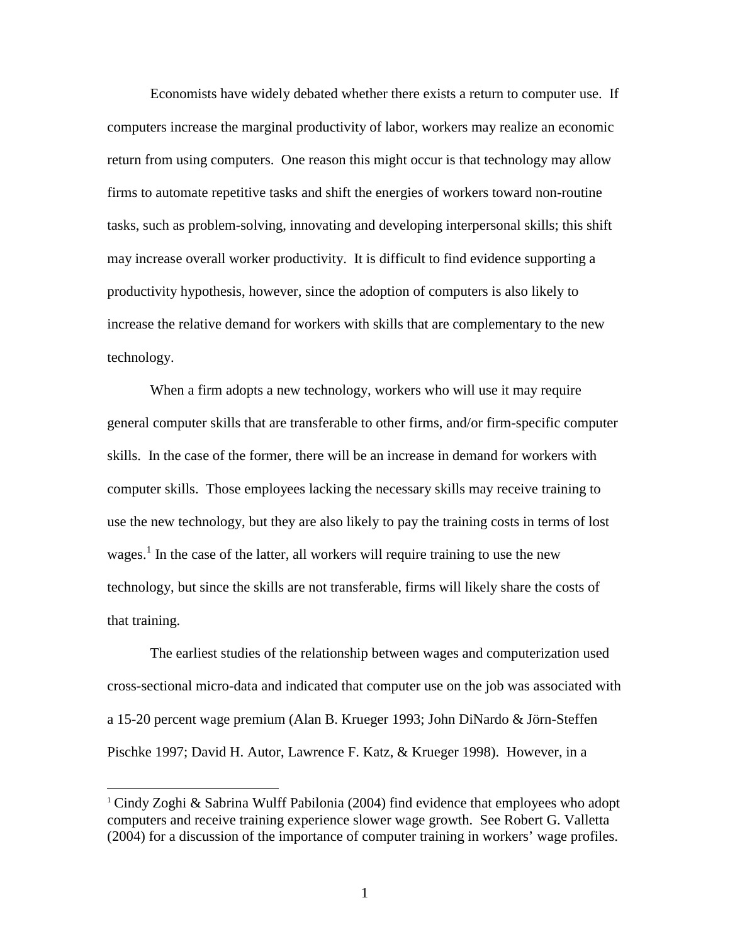Economists have widely debated whether there exists a return to computer use. If computers increase the marginal productivity of labor, workers may realize an economic return from using computers. One reason this might occur is that technology may allow firms to automate repetitive tasks and shift the energies of workers toward non-routine tasks, such as problem-solving, innovating and developing interpersonal skills; this shift may increase overall worker productivity. It is difficult to find evidence supporting a productivity hypothesis, however, since the adoption of computers is also likely to increase the relative demand for workers with skills that are complementary to the new technology.

 When a firm adopts a new technology, workers who will use it may require general computer skills that are transferable to other firms, and/or firm-specific computer skills. In the case of the former, there will be an increase in demand for workers with computer skills. Those employees lacking the necessary skills may receive training to use the new technology, but they are also likely to pay the training costs in terms of lost wages.<sup>1</sup> In the case of the latter, all workers will require training to use the new technology, but since the skills are not transferable, firms will likely share the costs of that training.

 The earliest studies of the relationship between wages and computerization used cross-sectional micro-data and indicated that computer use on the job was associated with a 15-20 percent wage premium (Alan B. Krueger 1993; John DiNardo & Jörn-Steffen Pischke 1997; David H. Autor, Lawrence F. Katz, & Krueger 1998). However, in a

-

<sup>&</sup>lt;sup>1</sup> Cindy Zoghi & Sabrina Wulff Pabilonia (2004) find evidence that employees who adopt computers and receive training experience slower wage growth. See Robert G. Valletta (2004) for a discussion of the importance of computer training in workers' wage profiles.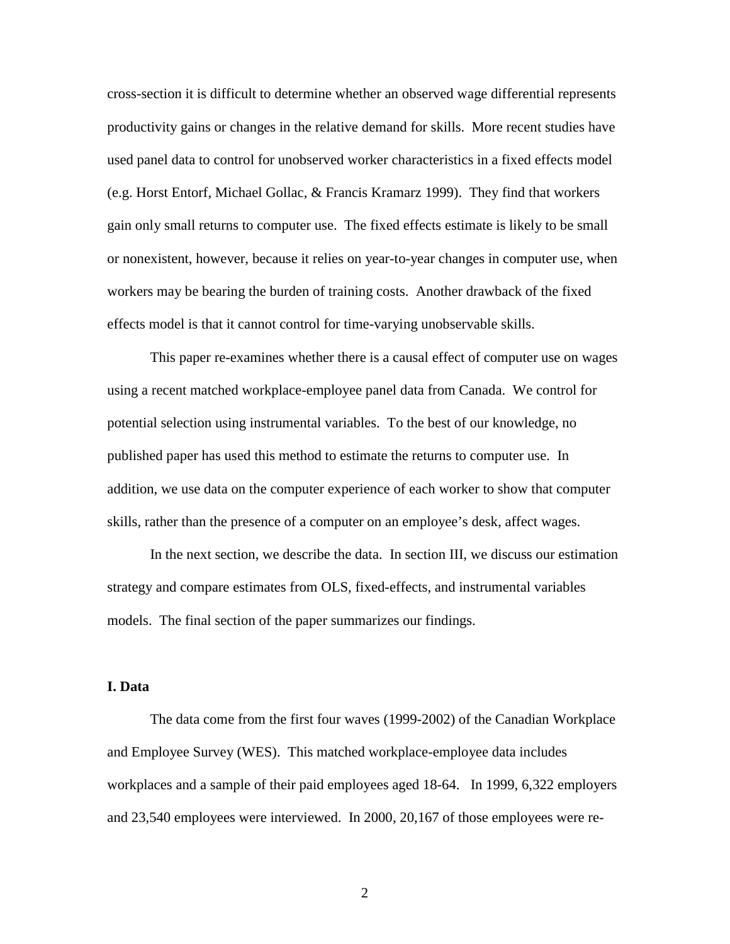cross-section it is difficult to determine whether an observed wage differential represents productivity gains or changes in the relative demand for skills. More recent studies have used panel data to control for unobserved worker characteristics in a fixed effects model (e.g. Horst Entorf, Michael Gollac, & Francis Kramarz 1999). They find that workers gain only small returns to computer use. The fixed effects estimate is likely to be small or nonexistent, however, because it relies on year-to-year changes in computer use, when workers may be bearing the burden of training costs. Another drawback of the fixed effects model is that it cannot control for time-varying unobservable skills.

 This paper re-examines whether there is a causal effect of computer use on wages using a recent matched workplace-employee panel data from Canada. We control for potential selection using instrumental variables. To the best of our knowledge, no published paper has used this method to estimate the returns to computer use. In addition, we use data on the computer experience of each worker to show that computer skills, rather than the presence of a computer on an employee's desk, affect wages.

 In the next section, we describe the data. In section III, we discuss our estimation strategy and compare estimates from OLS, fixed-effects, and instrumental variables models. The final section of the paper summarizes our findings.

#### **I. Data**

The data come from the first four waves (1999-2002) of the Canadian Workplace and Employee Survey (WES). This matched workplace-employee data includes workplaces and a sample of their paid employees aged 18-64. In 1999, 6,322 employers and 23,540 employees were interviewed. In 2000, 20,167 of those employees were re-

2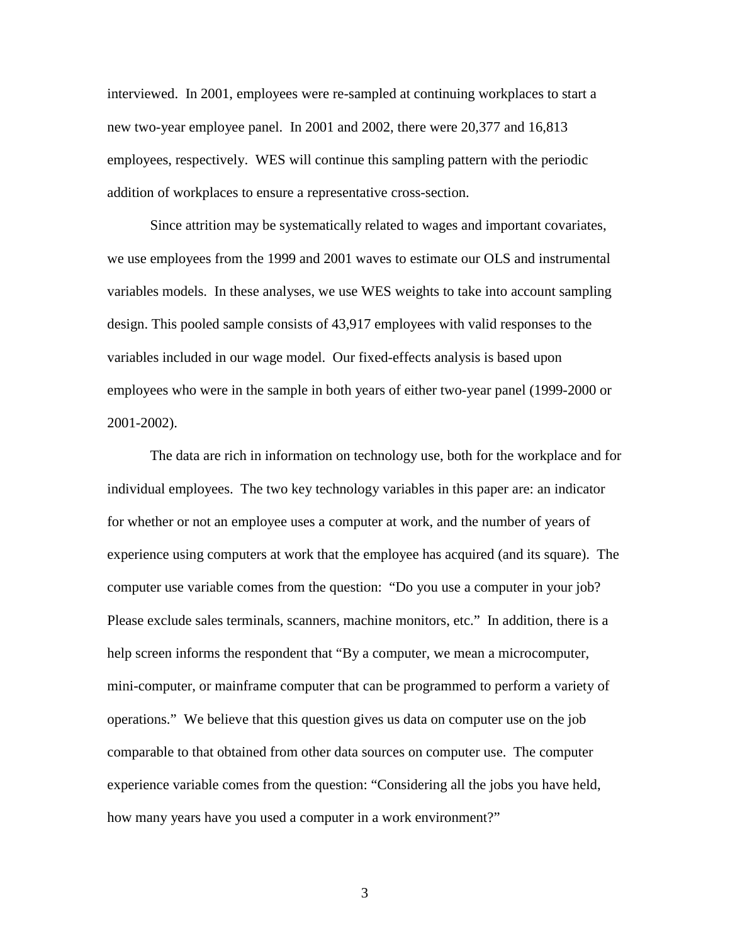interviewed. In 2001, employees were re-sampled at continuing workplaces to start a new two-year employee panel. In 2001 and 2002, there were 20,377 and 16,813 employees, respectively. WES will continue this sampling pattern with the periodic addition of workplaces to ensure a representative cross-section.

Since attrition may be systematically related to wages and important covariates, we use employees from the 1999 and 2001 waves to estimate our OLS and instrumental variables models. In these analyses, we use WES weights to take into account sampling design. This pooled sample consists of 43,917 employees with valid responses to the variables included in our wage model. Our fixed-effects analysis is based upon employees who were in the sample in both years of either two-year panel (1999-2000 or 2001-2002).

 The data are rich in information on technology use, both for the workplace and for individual employees. The two key technology variables in this paper are: an indicator for whether or not an employee uses a computer at work, and the number of years of experience using computers at work that the employee has acquired (and its square). The computer use variable comes from the question: "Do you use a computer in your job? Please exclude sales terminals, scanners, machine monitors, etc." In addition, there is a help screen informs the respondent that "By a computer, we mean a microcomputer, mini-computer, or mainframe computer that can be programmed to perform a variety of operations." We believe that this question gives us data on computer use on the job comparable to that obtained from other data sources on computer use. The computer experience variable comes from the question: "Considering all the jobs you have held, how many years have you used a computer in a work environment?"

3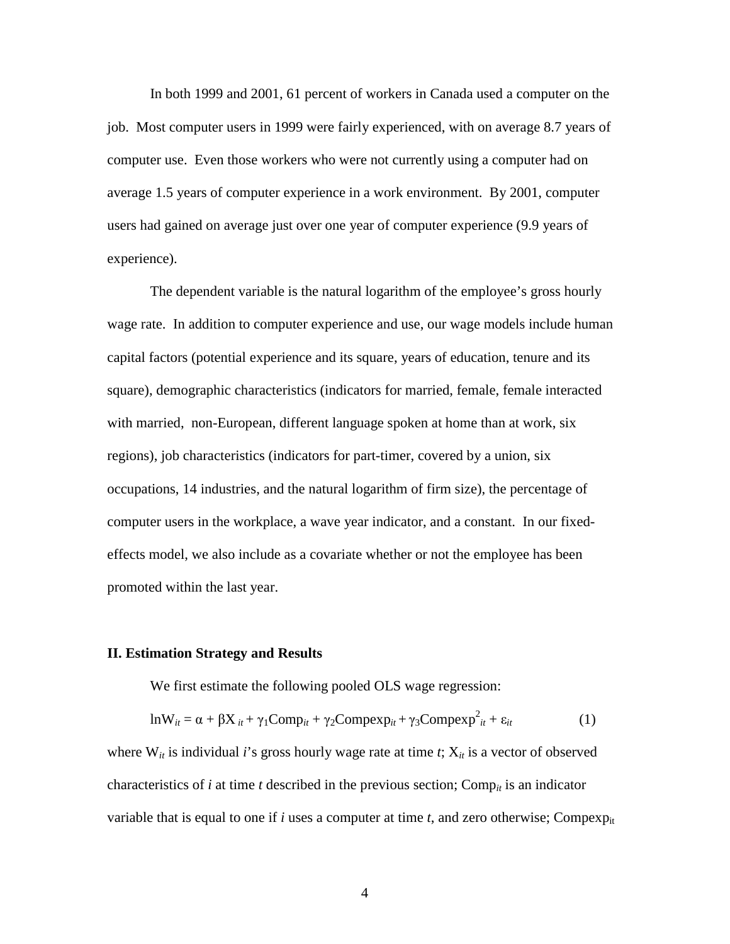In both 1999 and 2001, 61 percent of workers in Canada used a computer on the job. Most computer users in 1999 were fairly experienced, with on average 8.7 years of computer use. Even those workers who were not currently using a computer had on average 1.5 years of computer experience in a work environment. By 2001, computer users had gained on average just over one year of computer experience (9.9 years of experience).

 The dependent variable is the natural logarithm of the employee's gross hourly wage rate. In addition to computer experience and use, our wage models include human capital factors (potential experience and its square, years of education, tenure and its square), demographic characteristics (indicators for married, female, female interacted with married, non-European, different language spoken at home than at work, six regions), job characteristics (indicators for part-timer, covered by a union, six occupations, 14 industries, and the natural logarithm of firm size), the percentage of computer users in the workplace, a wave year indicator, and a constant. In our fixedeffects model, we also include as a covariate whether or not the employee has been promoted within the last year.

#### **II. Estimation Strategy and Results**

We first estimate the following pooled OLS wage regression:

$$
ln W_{it} = \alpha + \beta X_{it} + \gamma_1 Comp_{it} + \gamma_2 Compexp_{it} + \gamma_3 Compexp_{it}^2 + \varepsilon_{it}
$$
 (1)

where  $W_{it}$  is individual *i*'s gross hourly wage rate at time *t*;  $X_{it}$  is a vector of observed characteristics of  $i$  at time  $t$  described in the previous section; Comp<sub>it</sub> is an indicator variable that is equal to one if *i* uses a computer at time *t*, and zero otherwise; Compex $p_{it}$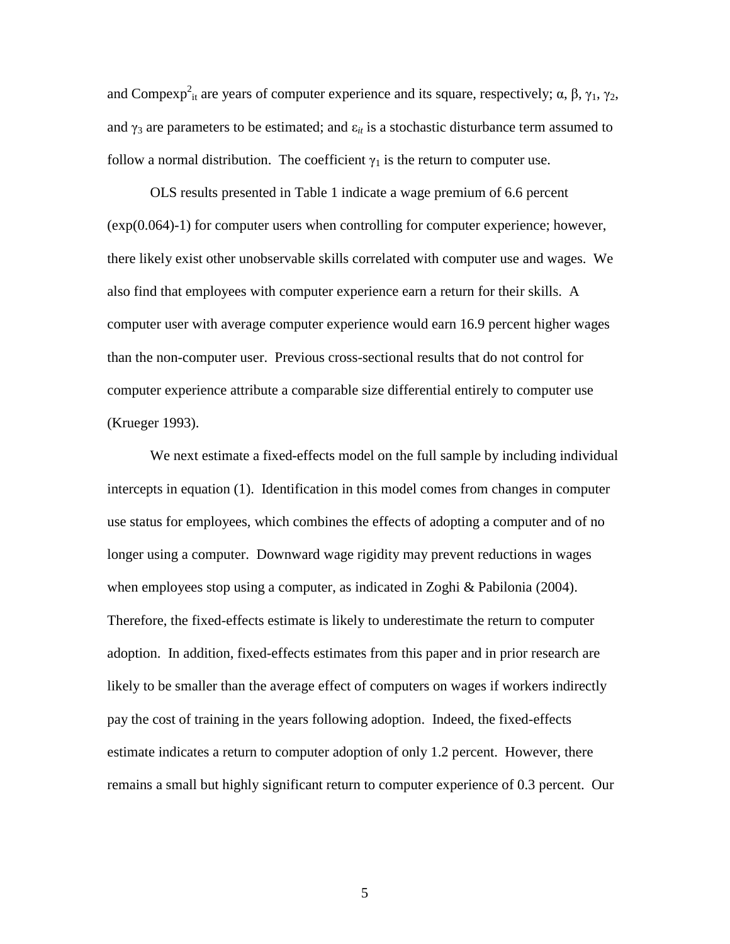and Compexp<sup>2</sup><sub>it</sub> are years of computer experience and its square, respectively;  $\alpha$ ,  $\beta$ ,  $\gamma_1$ ,  $\gamma_2$ , and  $\gamma_3$  are parameters to be estimated; and  $\varepsilon_{it}$  is a stochastic disturbance term assumed to follow a normal distribution. The coefficient  $\gamma_1$  is the return to computer use.

 OLS results presented in Table 1 indicate a wage premium of 6.6 percent (exp(0.064)-1) for computer users when controlling for computer experience; however, there likely exist other unobservable skills correlated with computer use and wages. We also find that employees with computer experience earn a return for their skills. A computer user with average computer experience would earn 16.9 percent higher wages than the non-computer user. Previous cross-sectional results that do not control for computer experience attribute a comparable size differential entirely to computer use (Krueger 1993).

 We next estimate a fixed-effects model on the full sample by including individual intercepts in equation (1). Identification in this model comes from changes in computer use status for employees, which combines the effects of adopting a computer and of no longer using a computer. Downward wage rigidity may prevent reductions in wages when employees stop using a computer, as indicated in Zoghi & Pabilonia (2004). Therefore, the fixed-effects estimate is likely to underestimate the return to computer adoption. In addition, fixed-effects estimates from this paper and in prior research are likely to be smaller than the average effect of computers on wages if workers indirectly pay the cost of training in the years following adoption. Indeed, the fixed-effects estimate indicates a return to computer adoption of only 1.2 percent. However, there remains a small but highly significant return to computer experience of 0.3 percent. Our

5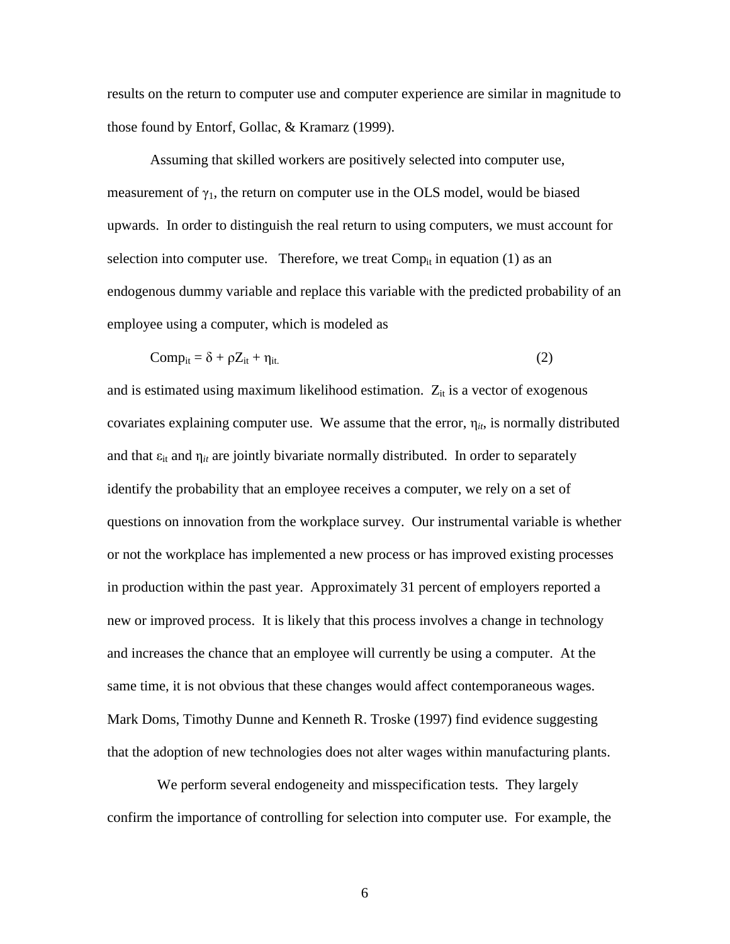results on the return to computer use and computer experience are similar in magnitude to those found by Entorf, Gollac, & Kramarz (1999).

Assuming that skilled workers are positively selected into computer use, measurement of  $\gamma_1$ , the return on computer use in the OLS model, would be biased upwards. In order to distinguish the real return to using computers, we must account for selection into computer use. Therefore, we treat  $Comp_{it}$  in equation (1) as an endogenous dummy variable and replace this variable with the predicted probability of an employee using a computer, which is modeled as

$$
Comp_{it} = \delta + \rho Z_{it} + \eta_{it.}
$$
 (2)

and is estimated using maximum likelihood estimation.  $Z_{it}$  is a vector of exogenous covariates explaining computer use. We assume that the error,  $\eta_{it}$ , is normally distributed and that  $\varepsilon_{it}$  and  $\eta_{it}$  are jointly bivariate normally distributed. In order to separately identify the probability that an employee receives a computer, we rely on a set of questions on innovation from the workplace survey. Our instrumental variable is whether or not the workplace has implemented a new process or has improved existing processes in production within the past year. Approximately 31 percent of employers reported a new or improved process. It is likely that this process involves a change in technology and increases the chance that an employee will currently be using a computer. At the same time, it is not obvious that these changes would affect contemporaneous wages. Mark Doms, Timothy Dunne and Kenneth R. Troske (1997) find evidence suggesting that the adoption of new technologies does not alter wages within manufacturing plants.

 We perform several endogeneity and misspecification tests. They largely confirm the importance of controlling for selection into computer use. For example, the

 $\sim$  6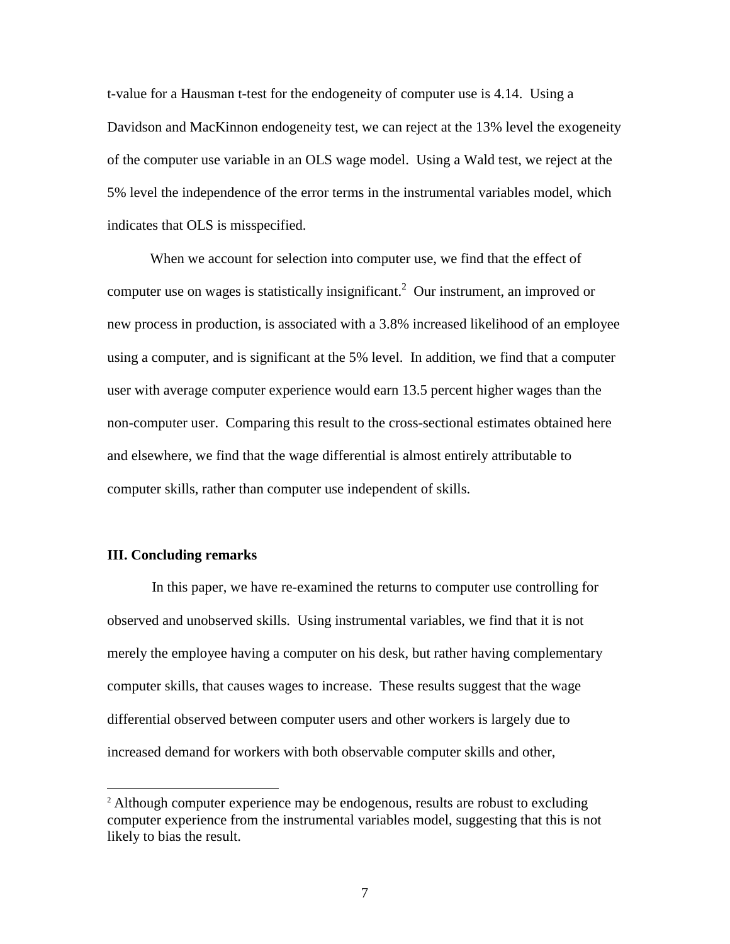t-value for a Hausman t-test for the endogeneity of computer use is 4.14. Using a Davidson and MacKinnon endogeneity test, we can reject at the 13% level the exogeneity of the computer use variable in an OLS wage model. Using a Wald test, we reject at the 5% level the independence of the error terms in the instrumental variables model, which indicates that OLS is misspecified.

When we account for selection into computer use, we find that the effect of computer use on wages is statistically insignificant.<sup>2</sup> Our instrument, an improved or new process in production, is associated with a 3.8% increased likelihood of an employee using a computer, and is significant at the 5% level. In addition, we find that a computer user with average computer experience would earn 13.5 percent higher wages than the non-computer user. Comparing this result to the cross-sectional estimates obtained here and elsewhere, we find that the wage differential is almost entirely attributable to computer skills, rather than computer use independent of skills.

#### **III. Concluding remarks**

-

In this paper, we have re-examined the returns to computer use controlling for observed and unobserved skills. Using instrumental variables, we find that it is not merely the employee having a computer on his desk, but rather having complementary computer skills, that causes wages to increase. These results suggest that the wage differential observed between computer users and other workers is largely due to increased demand for workers with both observable computer skills and other,

<sup>&</sup>lt;sup>2</sup> Although computer experience may be endogenous, results are robust to excluding computer experience from the instrumental variables model, suggesting that this is not likely to bias the result.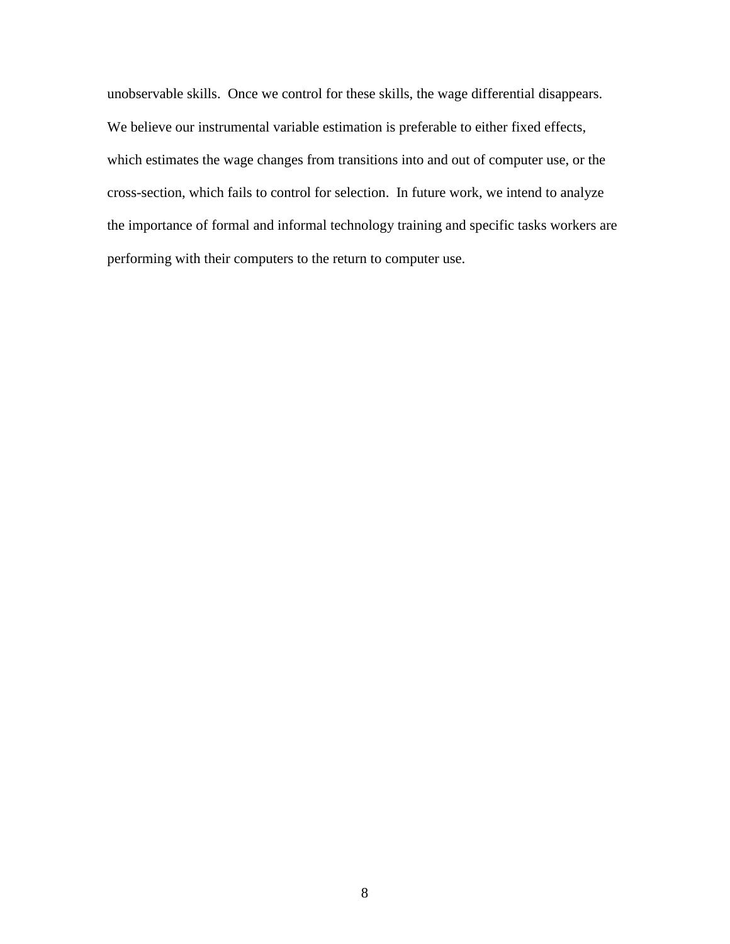unobservable skills. Once we control for these skills, the wage differential disappears. We believe our instrumental variable estimation is preferable to either fixed effects, which estimates the wage changes from transitions into and out of computer use, or the cross-section, which fails to control for selection. In future work, we intend to analyze the importance of formal and informal technology training and specific tasks workers are performing with their computers to the return to computer use.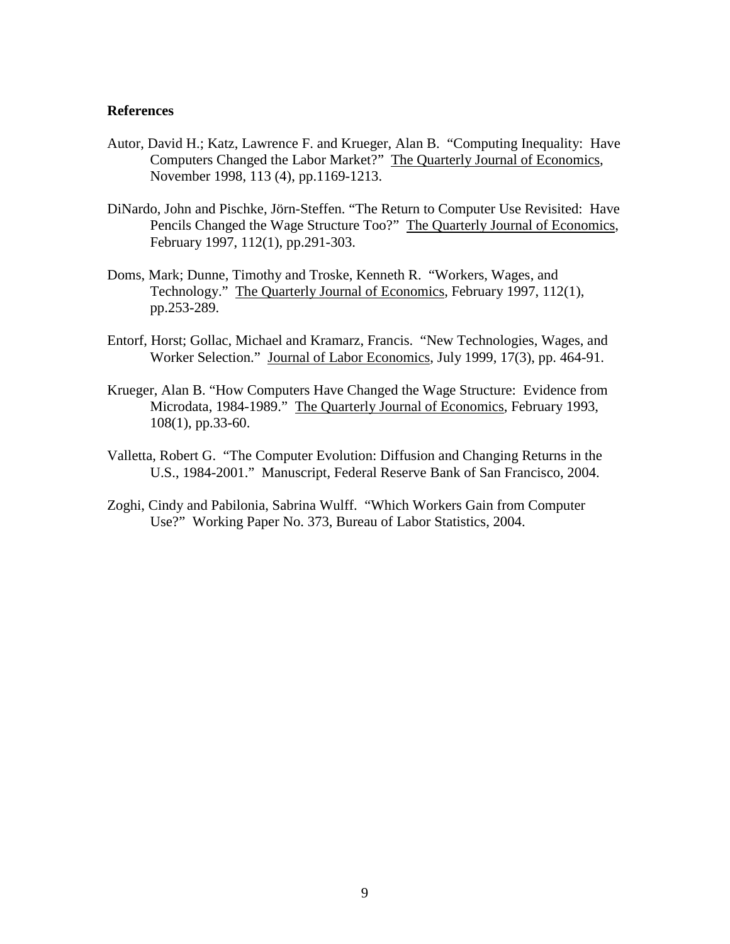#### **References**

- Autor, David H.; Katz, Lawrence F. and Krueger, Alan B. "Computing Inequality: Have Computers Changed the Labor Market?" The Quarterly Journal of Economics, November 1998, 113 (4), pp.1169-1213.
- DiNardo, John and Pischke, Jörn-Steffen. "The Return to Computer Use Revisited: Have Pencils Changed the Wage Structure Too?" The Quarterly Journal of Economics, February 1997, 112(1), pp.291-303.
- Doms, Mark; Dunne, Timothy and Troske, Kenneth R. "Workers, Wages, and Technology." The Quarterly Journal of Economics, February 1997, 112(1), pp.253-289.
- Entorf, Horst; Gollac, Michael and Kramarz, Francis. "New Technologies, Wages, and Worker Selection." Journal of Labor Economics, July 1999, 17(3), pp. 464-91.
- Krueger, Alan B. "How Computers Have Changed the Wage Structure: Evidence from Microdata, 1984-1989." The Quarterly Journal of Economics, February 1993, 108(1), pp.33-60.
- Valletta, Robert G. "The Computer Evolution: Diffusion and Changing Returns in the U.S., 1984-2001." Manuscript, Federal Reserve Bank of San Francisco, 2004.
- Zoghi, Cindy and Pabilonia, Sabrina Wulff. "Which Workers Gain from Computer Use?" Working Paper No. 373, Bureau of Labor Statistics, 2004.